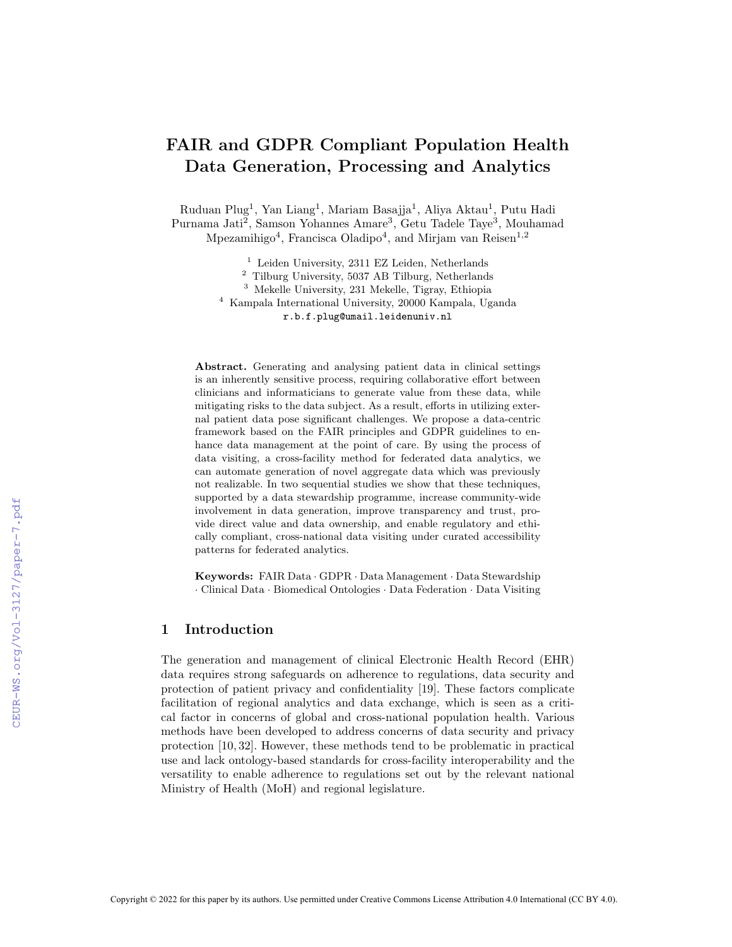# FAIR and GDPR Compliant Population Health Data Generation, Processing and Analytics

Ruduan Plug<sup>1</sup>, Yan Liang<sup>1</sup>, Mariam Basajja<sup>1</sup>, Aliya Aktau<sup>1</sup>, Putu Hadi Purnama Jati<sup>2</sup>, Samson Yohannes Amare<sup>3</sup>, Getu Tadele Taye<sup>3</sup>, Mouhamad Mpezamihigo<sup>4</sup>, Francisca Oladipo<sup>4</sup>, and Mirjam van Reisen<sup>1,2</sup>

<sup>1</sup> Leiden University, 2311 EZ Leiden, Netherlands

<sup>2</sup> Tilburg University, 5037 AB Tilburg, Netherlands

<sup>3</sup> Mekelle University, 231 Mekelle, Tigray, Ethiopia

<sup>4</sup> Kampala International University, 20000 Kampala, Uganda r.b.f.plug@umail.leidenuniv.nl

Abstract. Generating and analysing patient data in clinical settings is an inherently sensitive process, requiring collaborative effort between clinicians and informaticians to generate value from these data, while mitigating risks to the data subject. As a result, efforts in utilizing external patient data pose significant challenges. We propose a data-centric framework based on the FAIR principles and GDPR guidelines to enhance data management at the point of care. By using the process of data visiting, a cross-facility method for federated data analytics, we can automate generation of novel aggregate data which was previously not realizable. In two sequential studies we show that these techniques, supported by a data stewardship programme, increase community-wide involvement in data generation, improve transparency and trust, provide direct value and data ownership, and enable regulatory and ethically compliant, cross-national data visiting under curated accessibility patterns for federated analytics.

Keywords: FAIR Data · GDPR · Data Management · Data Stewardship · Clinical Data · Biomedical Ontologies · Data Federation · Data Visiting

### 1 Introduction

The generation and management of clinical Electronic Health Record (EHR) data requires strong safeguards on adherence to regulations, data security and protection of patient privacy and confidentiality [19]. These factors complicate facilitation of regional analytics and data exchange, which is seen as a critical factor in concerns of global and cross-national population health. Various methods have been developed to address concerns of data security and privacy protection [10, 32]. However, these methods tend to be problematic in practical use and lack ontology-based standards for cross-facility interoperability and the versatility to enable adherence to regulations set out by the relevant national Ministry of Health (MoH) and regional legislature.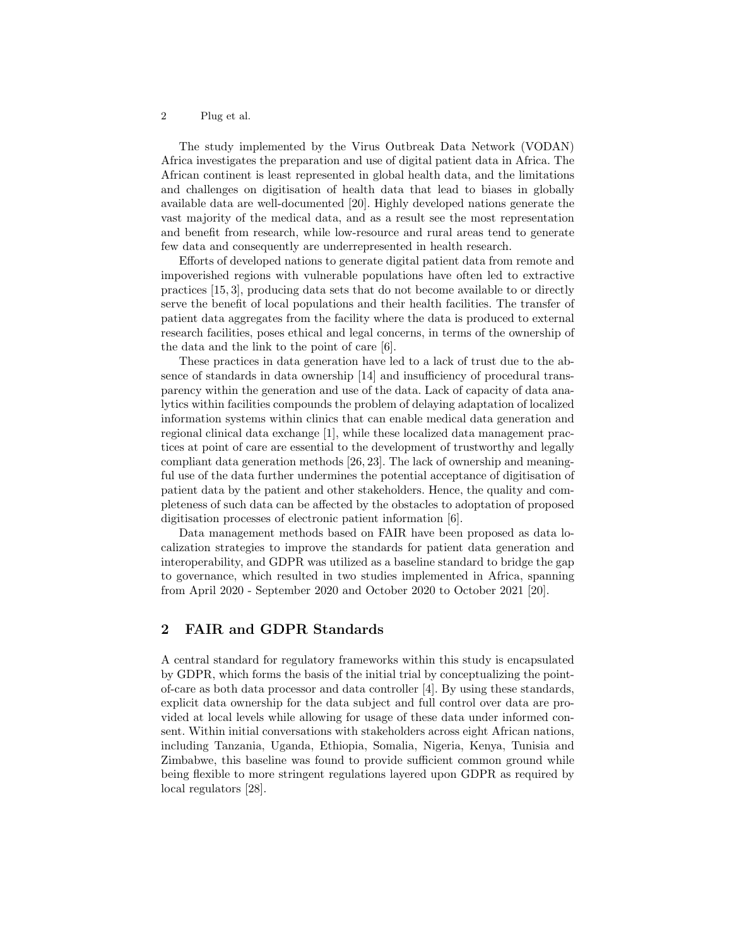The study implemented by the Virus Outbreak Data Network (VODAN) Africa investigates the preparation and use of digital patient data in Africa. The African continent is least represented in global health data, and the limitations and challenges on digitisation of health data that lead to biases in globally available data are well-documented [20]. Highly developed nations generate the vast majority of the medical data, and as a result see the most representation and benefit from research, while low-resource and rural areas tend to generate few data and consequently are underrepresented in health research.

Efforts of developed nations to generate digital patient data from remote and impoverished regions with vulnerable populations have often led to extractive practices [15, 3], producing data sets that do not become available to or directly serve the benefit of local populations and their health facilities. The transfer of patient data aggregates from the facility where the data is produced to external research facilities, poses ethical and legal concerns, in terms of the ownership of the data and the link to the point of care [6].

These practices in data generation have led to a lack of trust due to the absence of standards in data ownership [14] and insufficiency of procedural transparency within the generation and use of the data. Lack of capacity of data analytics within facilities compounds the problem of delaying adaptation of localized information systems within clinics that can enable medical data generation and regional clinical data exchange [1], while these localized data management practices at point of care are essential to the development of trustworthy and legally compliant data generation methods [26, 23]. The lack of ownership and meaningful use of the data further undermines the potential acceptance of digitisation of patient data by the patient and other stakeholders. Hence, the quality and completeness of such data can be affected by the obstacles to adoptation of proposed digitisation processes of electronic patient information [6].

Data management methods based on FAIR have been proposed as data localization strategies to improve the standards for patient data generation and interoperability, and GDPR was utilized as a baseline standard to bridge the gap to governance, which resulted in two studies implemented in Africa, spanning from April 2020 - September 2020 and October 2020 to October 2021 [20].

# 2 FAIR and GDPR Standards

A central standard for regulatory frameworks within this study is encapsulated by GDPR, which forms the basis of the initial trial by conceptualizing the pointof-care as both data processor and data controller [4]. By using these standards, explicit data ownership for the data subject and full control over data are provided at local levels while allowing for usage of these data under informed consent. Within initial conversations with stakeholders across eight African nations, including Tanzania, Uganda, Ethiopia, Somalia, Nigeria, Kenya, Tunisia and Zimbabwe, this baseline was found to provide sufficient common ground while being flexible to more stringent regulations layered upon GDPR as required by local regulators [28].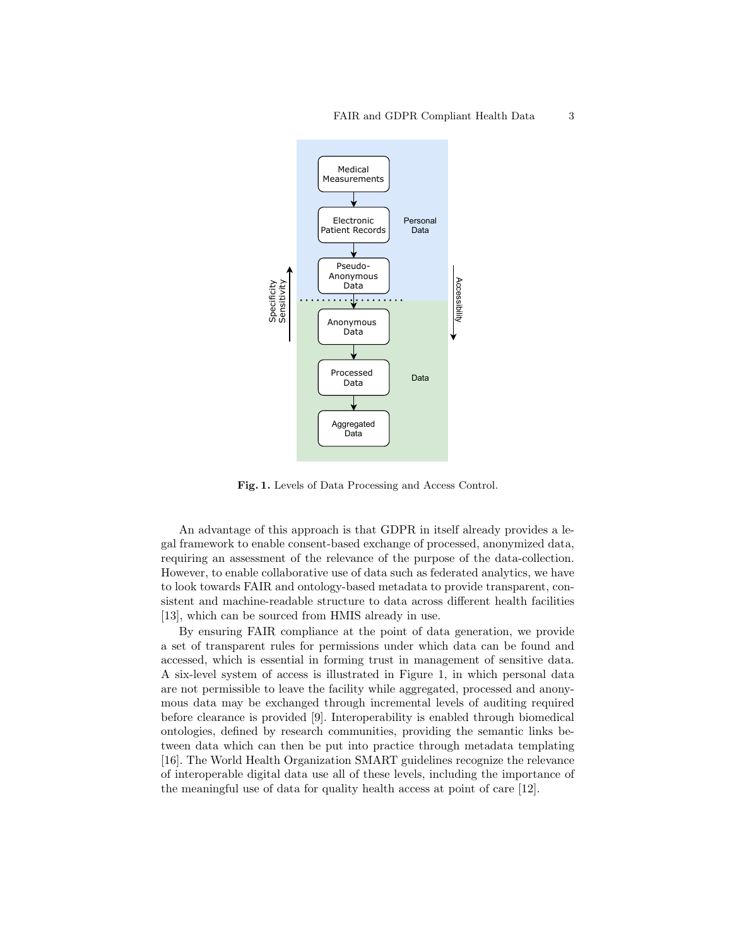

Fig. 1. Levels of Data Processing and Access Control.

An advantage of this approach is that GDPR in itself already provides a legal framework to enable consent-based exchange of processed, anonymized data, requiring an assessment of the relevance of the purpose of the data-collection. However, to enable collaborative use of data such as federated analytics, we have to look towards FAIR and ontology-based metadata to provide transparent, consistent and machine-readable structure to data across different health facilities [13], which can be sourced from HMIS already in use.

By ensuring FAIR compliance at the point of data generation, we provide a set of transparent rules for permissions under which data can be found and accessed, which is essential in forming trust in management of sensitive data. A six-level system of access is illustrated in Figure 1, in which personal data are not permissible to leave the facility while aggregated, processed and anonymous data may be exchanged through incremental levels of auditing required before clearance is provided [9]. Interoperability is enabled through biomedical ontologies, defined by research communities, providing the semantic links between data which can then be put into practice through metadata templating [16]. The World Health Organization SMART guidelines recognize the relevance of interoperable digital data use all of these levels, including the importance of the meaningful use of data for quality health access at point of care [12].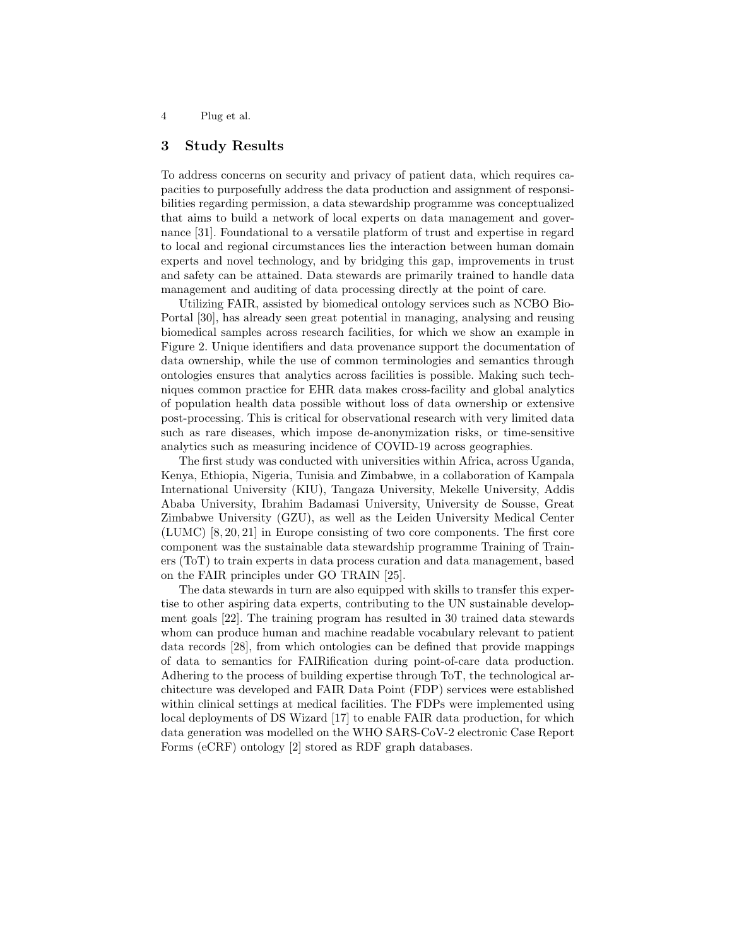## 3 Study Results

To address concerns on security and privacy of patient data, which requires capacities to purposefully address the data production and assignment of responsibilities regarding permission, a data stewardship programme was conceptualized that aims to build a network of local experts on data management and governance [31]. Foundational to a versatile platform of trust and expertise in regard to local and regional circumstances lies the interaction between human domain experts and novel technology, and by bridging this gap, improvements in trust and safety can be attained. Data stewards are primarily trained to handle data management and auditing of data processing directly at the point of care.

Utilizing FAIR, assisted by biomedical ontology services such as NCBO Bio-Portal [30], has already seen great potential in managing, analysing and reusing biomedical samples across research facilities, for which we show an example in Figure 2. Unique identifiers and data provenance support the documentation of data ownership, while the use of common terminologies and semantics through ontologies ensures that analytics across facilities is possible. Making such techniques common practice for EHR data makes cross-facility and global analytics of population health data possible without loss of data ownership or extensive post-processing. This is critical for observational research with very limited data such as rare diseases, which impose de-anonymization risks, or time-sensitive analytics such as measuring incidence of COVID-19 across geographies.

The first study was conducted with universities within Africa, across Uganda, Kenya, Ethiopia, Nigeria, Tunisia and Zimbabwe, in a collaboration of Kampala International University (KIU), Tangaza University, Mekelle University, Addis Ababa University, Ibrahim Badamasi University, University de Sousse, Great Zimbabwe University (GZU), as well as the Leiden University Medical Center (LUMC) [8, 20, 21] in Europe consisting of two core components. The first core component was the sustainable data stewardship programme Training of Trainers (ToT) to train experts in data process curation and data management, based on the FAIR principles under GO TRAIN [25].

The data stewards in turn are also equipped with skills to transfer this expertise to other aspiring data experts, contributing to the UN sustainable development goals [22]. The training program has resulted in 30 trained data stewards whom can produce human and machine readable vocabulary relevant to patient data records [28], from which ontologies can be defined that provide mappings of data to semantics for FAIRification during point-of-care data production. Adhering to the process of building expertise through ToT, the technological architecture was developed and FAIR Data Point (FDP) services were established within clinical settings at medical facilities. The FDPs were implemented using local deployments of DS Wizard [17] to enable FAIR data production, for which data generation was modelled on the WHO SARS-CoV-2 electronic Case Report Forms (eCRF) ontology [2] stored as RDF graph databases.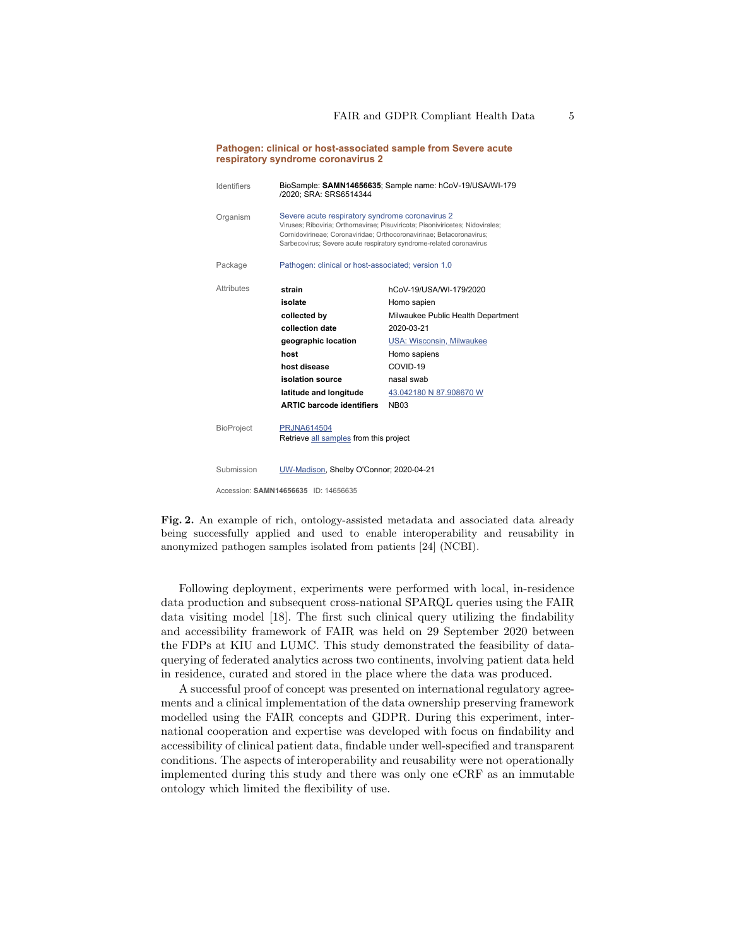| respiratory syndrome coronavirus 2   |                                                                                                                                                                                                                                                                                  |                                                                                                                                                                                                                    |
|--------------------------------------|----------------------------------------------------------------------------------------------------------------------------------------------------------------------------------------------------------------------------------------------------------------------------------|--------------------------------------------------------------------------------------------------------------------------------------------------------------------------------------------------------------------|
| <b>Identifiers</b>                   | BioSample: SAMN14656635; Sample name: hCoV-19/USA/WI-179<br>/2020; SRA: SRS6514344                                                                                                                                                                                               |                                                                                                                                                                                                                    |
| Organism                             | Severe acute respiratory syndrome coronavirus 2<br>Viruses; Riboviria; Orthornavirae; Pisuviricota; Pisoniviricetes; Nidovirales;<br>Cornidovirineae: Coronaviridae: Orthocoronavirinae: Betacoronavirus:<br>Sarbecovirus; Severe acute respiratory syndrome-related coronavirus |                                                                                                                                                                                                                    |
| Package                              | Pathogen: clinical or host-associated; version 1.0                                                                                                                                                                                                                               |                                                                                                                                                                                                                    |
| <b>Attributes</b>                    | strain<br>isolate<br>collected by<br>collection date<br>geographic location<br>host<br>host disease<br>isolation source<br>latitude and longitude<br><b>ARTIC barcode identifiers</b>                                                                                            | hCoV-19/USA/WI-179/2020<br>Homo sapien<br>Milwaukee Public Health Department<br>2020-03-21<br><b>USA: Wisconsin, Milwaukee</b><br>Homo sapiens<br>COVID-19<br>nasal swab<br>43.042180 N 87.908670 W<br><b>NB03</b> |
| <b>BioProject</b>                    | <b>PRJNA614504</b><br>Retrieve all samples from this project                                                                                                                                                                                                                     |                                                                                                                                                                                                                    |
| Submission                           | UW-Madison, Shelby O'Connor; 2020-04-21                                                                                                                                                                                                                                          |                                                                                                                                                                                                                    |
| Accession: SAMN14656635 ID: 14656635 |                                                                                                                                                                                                                                                                                  |                                                                                                                                                                                                                    |

**Pathogen: clinical or host-associated sample from Severe acute**

Fig. 2. An example of rich, ontology-assisted metadata and associated data already being successfully applied and used to enable interoperability and reusability in anonymized pathogen samples isolated from patients [24] (NCBI).

Following deployment, experiments were performed with local, in-residence data production and subsequent cross-national SPARQL queries using the FAIR data visiting model [18]. The first such clinical query utilizing the findability and accessibility framework of FAIR was held on 29 September 2020 between the FDPs at KIU and LUMC. This study demonstrated the feasibility of dataquerying of federated analytics across two continents, involving patient data held in residence, curated and stored in the place where the data was produced.

A successful proof of concept was presented on international regulatory agreements and a clinical implementation of the data ownership preserving framework modelled using the FAIR concepts and GDPR. During this experiment, international cooperation and expertise was developed with focus on findability and accessibility of clinical patient data, findable under well-specified and transparent conditions. The aspects of interoperability and reusability were not operationally implemented during this study and there was only one eCRF as an immutable ontology which limited the flexibility of use.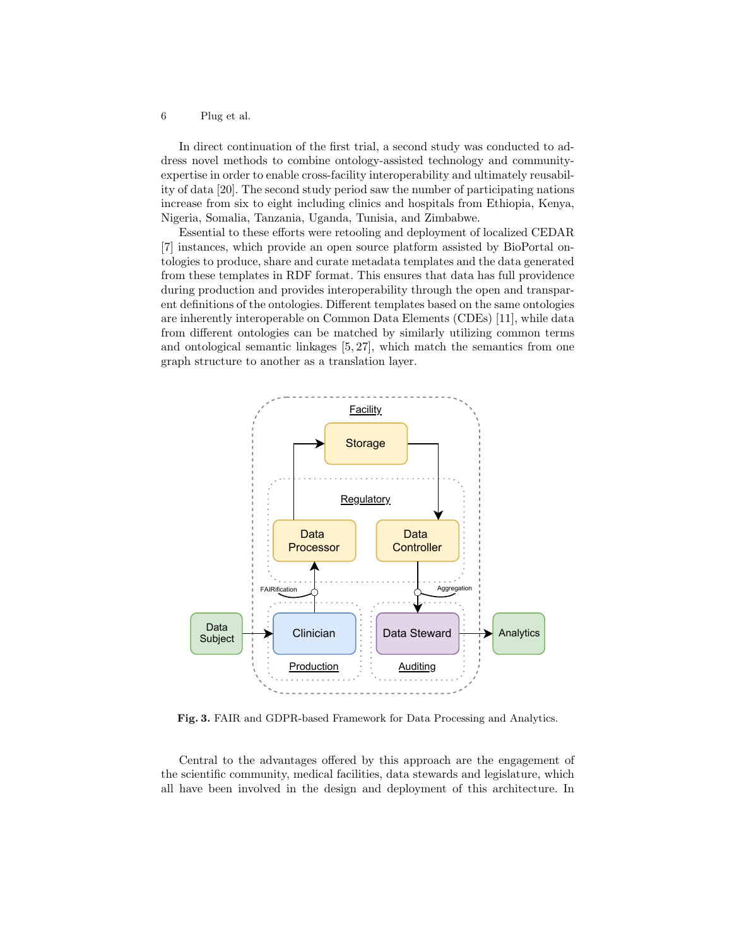In direct continuation of the first trial, a second study was conducted to address novel methods to combine ontology-assisted technology and communityexpertise in order to enable cross-facility interoperability and ultimately reusability of data [20]. The second study period saw the number of participating nations increase from six to eight including clinics and hospitals from Ethiopia, Kenya, Nigeria, Somalia, Tanzania, Uganda, Tunisia, and Zimbabwe.

Essential to these efforts were retooling and deployment of localized CEDAR [7] instances, which provide an open source platform assisted by BioPortal ontologies to produce, share and curate metadata templates and the data generated from these templates in RDF format. This ensures that data has full providence during production and provides interoperability through the open and transparent definitions of the ontologies. Different templates based on the same ontologies are inherently interoperable on Common Data Elements (CDEs) [11], while data from different ontologies can be matched by similarly utilizing common terms and ontological semantic linkages [5, 27], which match the semantics from one graph structure to another as a translation layer.



Fig. 3. FAIR and GDPR-based Framework for Data Processing and Analytics.

Central to the advantages offered by this approach are the engagement of the scientific community, medical facilities, data stewards and legislature, which all have been involved in the design and deployment of this architecture. In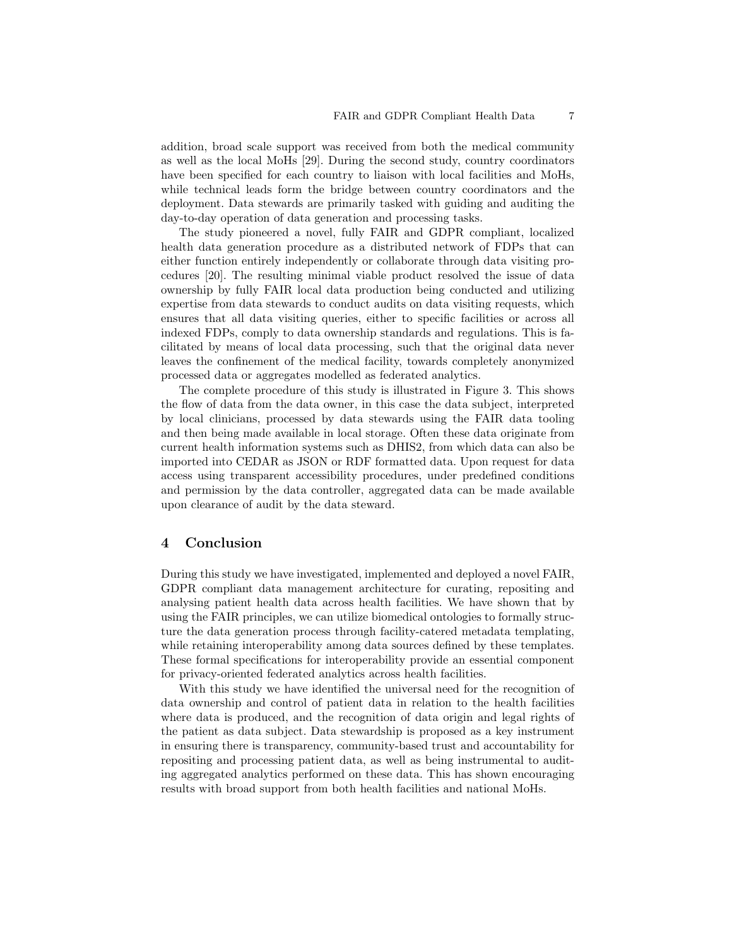addition, broad scale support was received from both the medical community as well as the local MoHs [29]. During the second study, country coordinators have been specified for each country to liaison with local facilities and MoHs, while technical leads form the bridge between country coordinators and the deployment. Data stewards are primarily tasked with guiding and auditing the day-to-day operation of data generation and processing tasks.

The study pioneered a novel, fully FAIR and GDPR compliant, localized health data generation procedure as a distributed network of FDPs that can either function entirely independently or collaborate through data visiting procedures [20]. The resulting minimal viable product resolved the issue of data ownership by fully FAIR local data production being conducted and utilizing expertise from data stewards to conduct audits on data visiting requests, which ensures that all data visiting queries, either to specific facilities or across all indexed FDPs, comply to data ownership standards and regulations. This is facilitated by means of local data processing, such that the original data never leaves the confinement of the medical facility, towards completely anonymized processed data or aggregates modelled as federated analytics.

The complete procedure of this study is illustrated in Figure 3. This shows the flow of data from the data owner, in this case the data subject, interpreted by local clinicians, processed by data stewards using the FAIR data tooling and then being made available in local storage. Often these data originate from current health information systems such as DHIS2, from which data can also be imported into CEDAR as JSON or RDF formatted data. Upon request for data access using transparent accessibility procedures, under predefined conditions and permission by the data controller, aggregated data can be made available upon clearance of audit by the data steward.

### 4 Conclusion

During this study we have investigated, implemented and deployed a novel FAIR, GDPR compliant data management architecture for curating, repositing and analysing patient health data across health facilities. We have shown that by using the FAIR principles, we can utilize biomedical ontologies to formally structure the data generation process through facility-catered metadata templating, while retaining interoperability among data sources defined by these templates. These formal specifications for interoperability provide an essential component for privacy-oriented federated analytics across health facilities.

With this study we have identified the universal need for the recognition of data ownership and control of patient data in relation to the health facilities where data is produced, and the recognition of data origin and legal rights of the patient as data subject. Data stewardship is proposed as a key instrument in ensuring there is transparency, community-based trust and accountability for repositing and processing patient data, as well as being instrumental to auditing aggregated analytics performed on these data. This has shown encouraging results with broad support from both health facilities and national MoHs.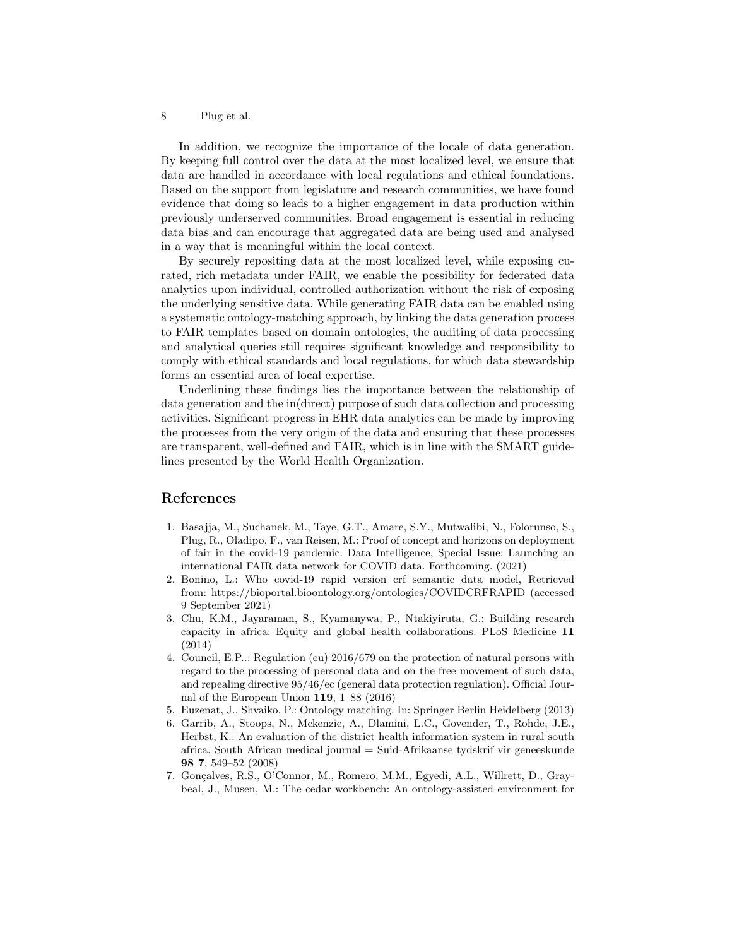In addition, we recognize the importance of the locale of data generation. By keeping full control over the data at the most localized level, we ensure that data are handled in accordance with local regulations and ethical foundations. Based on the support from legislature and research communities, we have found evidence that doing so leads to a higher engagement in data production within previously underserved communities. Broad engagement is essential in reducing data bias and can encourage that aggregated data are being used and analysed in a way that is meaningful within the local context.

By securely repositing data at the most localized level, while exposing curated, rich metadata under FAIR, we enable the possibility for federated data analytics upon individual, controlled authorization without the risk of exposing the underlying sensitive data. While generating FAIR data can be enabled using a systematic ontology-matching approach, by linking the data generation process to FAIR templates based on domain ontologies, the auditing of data processing and analytical queries still requires significant knowledge and responsibility to comply with ethical standards and local regulations, for which data stewardship forms an essential area of local expertise.

Underlining these findings lies the importance between the relationship of data generation and the in(direct) purpose of such data collection and processing activities. Significant progress in EHR data analytics can be made by improving the processes from the very origin of the data and ensuring that these processes are transparent, well-defined and FAIR, which is in line with the SMART guidelines presented by the World Health Organization.

#### References

- 1. Basajja, M., Suchanek, M., Taye, G.T., Amare, S.Y., Mutwalibi, N., Folorunso, S., Plug, R., Oladipo, F., van Reisen, M.: Proof of concept and horizons on deployment of fair in the covid-19 pandemic. Data Intelligence, Special Issue: Launching an international FAIR data network for COVID data. Forthcoming. (2021)
- 2. Bonino, L.: Who covid-19 rapid version crf semantic data model, Retrieved from: https://bioportal.bioontology.org/ontologies/COVIDCRFRAPID (accessed 9 September 2021)
- 3. Chu, K.M., Jayaraman, S., Kyamanywa, P., Ntakiyiruta, G.: Building research capacity in africa: Equity and global health collaborations. PLoS Medicine 11 (2014)
- 4. Council, E.P..: Regulation (eu) 2016/679 on the protection of natural persons with regard to the processing of personal data and on the free movement of such data, and repealing directive 95/46/ec (general data protection regulation). Official Journal of the European Union 119, 1–88 (2016)
- 5. Euzenat, J., Shvaiko, P.: Ontology matching. In: Springer Berlin Heidelberg (2013)
- 6. Garrib, A., Stoops, N., Mckenzie, A., Dlamini, L.C., Govender, T., Rohde, J.E., Herbst, K.: An evaluation of the district health information system in rural south africa. South African medical journal = Suid-Afrikaanse tydskrif vir geneeskunde 98 7, 549–52 (2008)
- 7. Gonçalves, R.S., O'Connor, M., Romero, M.M., Egyedi, A.L., Willrett, D., Graybeal, J., Musen, M.: The cedar workbench: An ontology-assisted environment for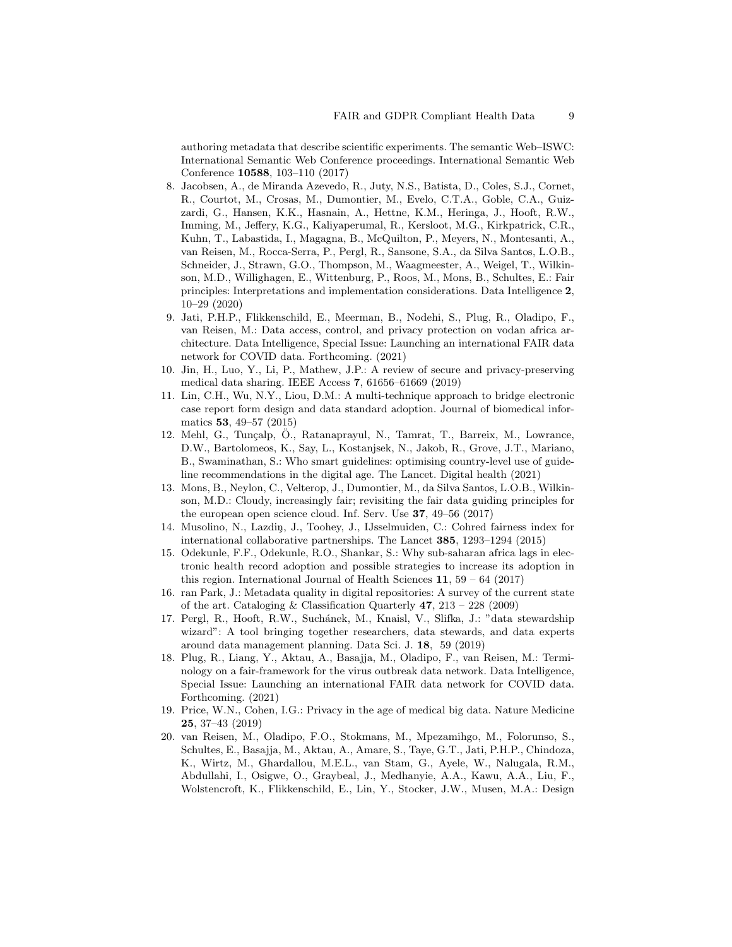authoring metadata that describe scientific experiments. The semantic Web–ISWC: International Semantic Web Conference proceedings. International Semantic Web Conference 10588, 103–110 (2017)

- 8. Jacobsen, A., de Miranda Azevedo, R., Juty, N.S., Batista, D., Coles, S.J., Cornet, R., Courtot, M., Crosas, M., Dumontier, M., Evelo, C.T.A., Goble, C.A., Guizzardi, G., Hansen, K.K., Hasnain, A., Hettne, K.M., Heringa, J., Hooft, R.W., Imming, M., Jeffery, K.G., Kaliyaperumal, R., Kersloot, M.G., Kirkpatrick, C.R., Kuhn, T., Labastida, I., Magagna, B., McQuilton, P., Meyers, N., Montesanti, A., van Reisen, M., Rocca-Serra, P., Pergl, R., Sansone, S.A., da Silva Santos, L.O.B., Schneider, J., Strawn, G.O., Thompson, M., Waagmeester, A., Weigel, T., Wilkinson, M.D., Willighagen, E., Wittenburg, P., Roos, M., Mons, B., Schultes, E.: Fair principles: Interpretations and implementation considerations. Data Intelligence 2, 10–29 (2020)
- 9. Jati, P.H.P., Flikkenschild, E., Meerman, B., Nodehi, S., Plug, R., Oladipo, F., van Reisen, M.: Data access, control, and privacy protection on vodan africa architecture. Data Intelligence, Special Issue: Launching an international FAIR data network for COVID data. Forthcoming. (2021)
- 10. Jin, H., Luo, Y., Li, P., Mathew, J.P.: A review of secure and privacy-preserving medical data sharing. IEEE Access 7, 61656–61669 (2019)
- 11. Lin, C.H., Wu, N.Y., Liou, D.M.: A multi-technique approach to bridge electronic case report form design and data standard adoption. Journal of biomedical informatics 53, 49–57 (2015)
- 12. Mehl, G., Tunçalp, Ö., Ratanaprayul, N., Tamrat, T., Barreix, M., Lowrance, D.W., Bartolomeos, K., Say, L., Kostanjsek, N., Jakob, R., Grove, J.T., Mariano, B., Swaminathan, S.: Who smart guidelines: optimising country-level use of guideline recommendations in the digital age. The Lancet. Digital health (2021)
- 13. Mons, B., Neylon, C., Velterop, J., Dumontier, M., da Silva Santos, L.O.B., Wilkinson, M.D.: Cloudy, increasingly fair; revisiting the fair data guiding principles for the european open science cloud. Inf. Serv. Use 37, 49–56 (2017)
- 14. Musolino, N., Lazdin, J., Toohey, J., IJsselmuiden, C.: Cohred fairness index for international collaborative partnerships. The Lancet 385, 1293–1294 (2015)
- 15. Odekunle, F.F., Odekunle, R.O., Shankar, S.: Why sub-saharan africa lags in electronic health record adoption and possible strategies to increase its adoption in this region. International Journal of Health Sciences  $11, 59 - 64$  (2017)
- 16. ran Park, J.: Metadata quality in digital repositories: A survey of the current state of the art. Cataloging  $&$  Classification Quarterly 47, 213 – 228 (2009)
- 17. Pergl, R., Hooft, R.W., Suchánek, M., Knaisl, V., Slifka, J.: "data stewardship wizard": A tool bringing together researchers, data stewards, and data experts around data management planning. Data Sci. J. 18, 59 (2019)
- 18. Plug, R., Liang, Y., Aktau, A., Basajja, M., Oladipo, F., van Reisen, M.: Terminology on a fair-framework for the virus outbreak data network. Data Intelligence, Special Issue: Launching an international FAIR data network for COVID data. Forthcoming. (2021)
- 19. Price, W.N., Cohen, I.G.: Privacy in the age of medical big data. Nature Medicine 25, 37–43 (2019)
- 20. van Reisen, M., Oladipo, F.O., Stokmans, M., Mpezamihgo, M., Folorunso, S., Schultes, E., Basajja, M., Aktau, A., Amare, S., Taye, G.T., Jati, P.H.P., Chindoza, K., Wirtz, M., Ghardallou, M.E.L., van Stam, G., Ayele, W., Nalugala, R.M., Abdullahi, I., Osigwe, O., Graybeal, J., Medhanyie, A.A., Kawu, A.A., Liu, F., Wolstencroft, K., Flikkenschild, E., Lin, Y., Stocker, J.W., Musen, M.A.: Design